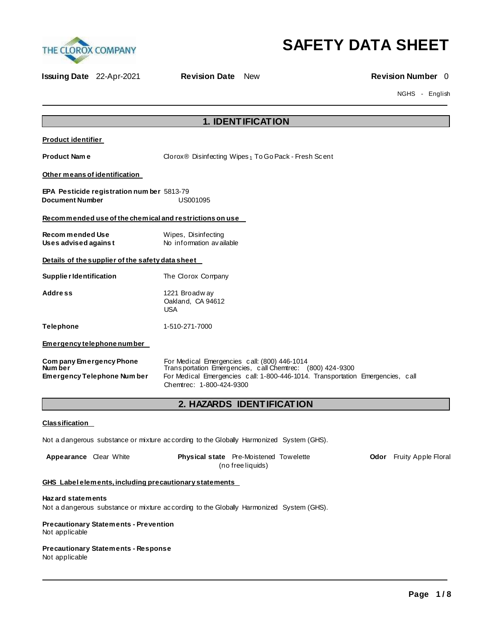

# **SAFETY DATA SHEET**

**Issuing Date** 22-Apr-2021 **Revision Date** New **Revision Number** 0

NGHS - English

| <b>1. IDENTIFICATION</b>                                                                          |                                                                                                                                                                                                                         |  |  |  |
|---------------------------------------------------------------------------------------------------|-------------------------------------------------------------------------------------------------------------------------------------------------------------------------------------------------------------------------|--|--|--|
| <b>Product identifier</b>                                                                         |                                                                                                                                                                                                                         |  |  |  |
| <b>Product Name</b>                                                                               | Clorox® Disinfecting Wipes <sub>1</sub> To Go Pack - Fresh Scent                                                                                                                                                        |  |  |  |
| Other means of identification                                                                     |                                                                                                                                                                                                                         |  |  |  |
| <b>EPA Pesticide registration num ber 5813-79</b><br><b>Document Number</b>                       | US001095                                                                                                                                                                                                                |  |  |  |
| Recommended use of the chemical and restrictions on use                                           |                                                                                                                                                                                                                         |  |  |  |
| <b>Recommended Use</b><br>Wipes, Disinfecting<br>No information available<br>Uses advised against |                                                                                                                                                                                                                         |  |  |  |
| Details of the supplier of the safety data sheet                                                  |                                                                                                                                                                                                                         |  |  |  |
| Supplie r Identification                                                                          | The Clorox Company                                                                                                                                                                                                      |  |  |  |
| Address                                                                                           | 1221 Broadway<br>Oakland, CA 94612<br><b>USA</b>                                                                                                                                                                        |  |  |  |
| <b>Telephone</b>                                                                                  | 1-510-271-7000                                                                                                                                                                                                          |  |  |  |
| Emergency telephone number                                                                        |                                                                                                                                                                                                                         |  |  |  |
| Company Emergency Phone<br>Num ber<br><b>Emergency Telephone Number</b>                           | For Medical Emergencies call: (800) 446-1014<br>Transportation Emergencies, call Chemtrec: (800) 424-9300<br>For Medical Emergencies call: 1-800-446-1014. Transportation Emergencies, call<br>Chemtrec: 1-800-424-9300 |  |  |  |
|                                                                                                   | 2. HAZARDS IDENTIFICATION                                                                                                                                                                                               |  |  |  |
| <b>Classification</b>                                                                             |                                                                                                                                                                                                                         |  |  |  |
|                                                                                                   | Not a dangerous substance or mixture according to the Globally Harmonized System (GHS).                                                                                                                                 |  |  |  |
| Appearance Clear White                                                                            | Physical state Pre-Moistened Towelette<br>Odor Fruity Apple Floral<br>(no free liquids)                                                                                                                                 |  |  |  |
| GHS Label elements, including precautionary statements                                            |                                                                                                                                                                                                                         |  |  |  |
| Haz ard statements                                                                                |                                                                                                                                                                                                                         |  |  |  |

Not a dangerous substance or mixture according to the Globally Harmonized System (GHS).

## **Precautionary Statements - Prevention**

Not applicable

#### **Precautionary Statements - Response** Not applicable

**Page 1 / 8**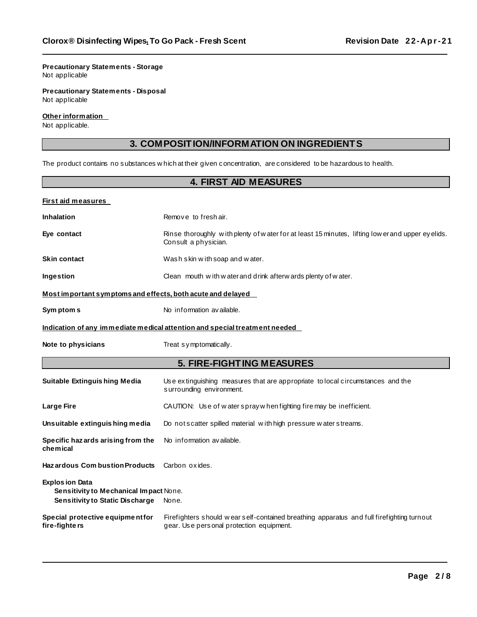#### **Precautionary Statements - Storage** Not applicable

**Precautionary Statements - Disposal** Not applicable

#### **Other information**

Not applicable.

### **3. COMPOSITION/INFORMATION ON INGREDIENTS**

The product contains no substances w hich at their given concentration, are considered to be hazardous to health.

### **4. FIRST AID MEASURES**

| <b>First aid measures</b>                                                                           |                                                                                                                                       |  |  |  |
|-----------------------------------------------------------------------------------------------------|---------------------------------------------------------------------------------------------------------------------------------------|--|--|--|
| <b>Inhalation</b>                                                                                   | Remove to freshair.                                                                                                                   |  |  |  |
| Eye contact                                                                                         | Rinse thoroughly with plenty of water for at least 15 minutes, lifting low erand upper eyelids.<br>Consult a physician.               |  |  |  |
| <b>Skin contact</b>                                                                                 | Wash skin with soap and water.                                                                                                        |  |  |  |
| <b>Ingestion</b>                                                                                    | Clean mouth with w ater and drink afterw ards plenty of w ater.                                                                       |  |  |  |
| Most important symptoms and effects, both acute and delayed                                         |                                                                                                                                       |  |  |  |
| Sym ptom s                                                                                          | No information available.                                                                                                             |  |  |  |
|                                                                                                     | Indication of any immediate medical attention and special treatment needed                                                            |  |  |  |
| Note to physicians                                                                                  | Treat symptomatically.                                                                                                                |  |  |  |
| <b>5. FIRE-FIGHTING MEASURES</b>                                                                    |                                                                                                                                       |  |  |  |
| <b>Suitable Extinguishing Media</b>                                                                 | Use extinguishing measures that are appropriate to local circumstances and the<br>surrounding environment.                            |  |  |  |
| <b>Large Fire</b>                                                                                   | CAUTION: Use of water spray when fighting fire may be inefficient.                                                                    |  |  |  |
| Unsuitable extinguishing media                                                                      | Do not scatter spilled material with high pressure water streams.                                                                     |  |  |  |
| Specific hazards arising from the<br>chemical                                                       | No information available.                                                                                                             |  |  |  |
| <b>Hazardous Combustion Products</b>                                                                | Carbon oxides.                                                                                                                        |  |  |  |
| <b>Explos ion Data</b><br>Sensitivity to Mechanical Impact None.<br>Sensitivity to Static Discharge | None.                                                                                                                                 |  |  |  |
| Special protective equipment for<br>fire-fighte rs                                                  | Firefighters should wear self-contained breathing apparatus and full firefighting turnout<br>gear. Use personal protection equipment. |  |  |  |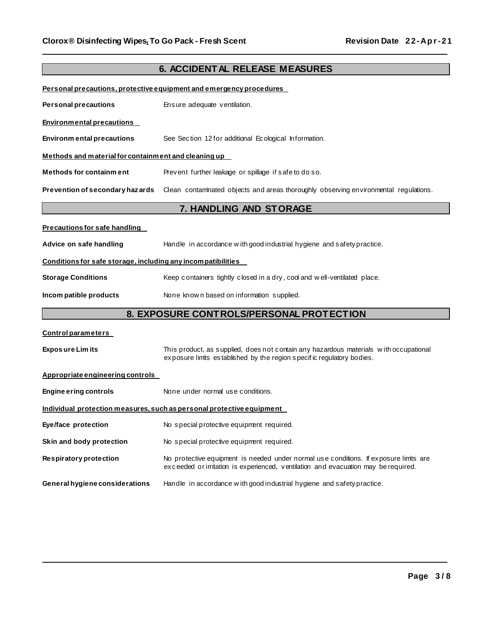| <b>6. ACCIDENTAL RELEASE MEASURES</b>                                  |                                                                                                                                                                             |  |  |  |
|------------------------------------------------------------------------|-----------------------------------------------------------------------------------------------------------------------------------------------------------------------------|--|--|--|
|                                                                        | Personal precautions, protective equipment and emergency procedures                                                                                                         |  |  |  |
| <b>Personal precautions</b>                                            | Ensure adequate ventilation.                                                                                                                                                |  |  |  |
| <b>Environmental precautions</b>                                       |                                                                                                                                                                             |  |  |  |
| <b>Environmental precautions</b>                                       | See Section 12 for additional Ecological Information.                                                                                                                       |  |  |  |
| Methods and material for containment and cleaning up                   |                                                                                                                                                                             |  |  |  |
| <b>Methods for containment</b>                                         | Prevent further leakage or spillage if safe to do so.                                                                                                                       |  |  |  |
| Prevention of secondary hazards                                        | Clean contaminated objects and areas thoroughly observing environmental regulations.                                                                                        |  |  |  |
| 7. HANDLING AND STORAGE                                                |                                                                                                                                                                             |  |  |  |
| <b>Precautions for safe handling</b>                                   |                                                                                                                                                                             |  |  |  |
| Advice on safe handling                                                | Handle in accordance with good industrial hygiene and safety practice.                                                                                                      |  |  |  |
| Conditions for safe storage, including any incompatibilities           |                                                                                                                                                                             |  |  |  |
| <b>Storage Conditions</b>                                              | Keep containers tightly closed in a dry, cool and well-ventilated place.                                                                                                    |  |  |  |
| Incom patible products                                                 | None known based on information supplied.                                                                                                                                   |  |  |  |
|                                                                        | 8. EXPOSURE CONTROLS/PERSONAL PROTECTION                                                                                                                                    |  |  |  |
| <b>Control parameters</b>                                              |                                                                                                                                                                             |  |  |  |
| <b>Exposure Limits</b>                                                 | This product, as supplied, does not contain any hazardous materials with occupational<br>exposure limits established by the region specific regulatory bodies.              |  |  |  |
| Appropriate engineering controls                                       |                                                                                                                                                                             |  |  |  |
| <b>Engine ering controls</b>                                           | None under normal use conditions.                                                                                                                                           |  |  |  |
| Individual  protection measures. such as personal protective equipment |                                                                                                                                                                             |  |  |  |
| Eye/face protection                                                    | No special protective equipment required.                                                                                                                                   |  |  |  |
| Skin and body protection                                               | No special protective equipment required.                                                                                                                                   |  |  |  |
| Respiratory protection                                                 | No protective equipment is needed under normal use conditions. If exposure limits are<br>exceeded or irritation is experienced, ventilation and evacuation may be required. |  |  |  |
| General hygiene considerations                                         | Handle in accordance with good industrial hygiene and safety practice.                                                                                                      |  |  |  |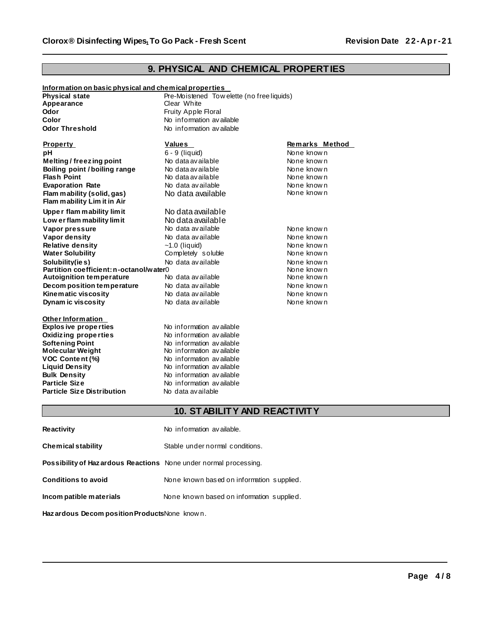### **9. PHYSICAL AND CHEMICAL PROPERTIES**

| Information on basic physical and chemical properties |                                            |                |  |  |
|-------------------------------------------------------|--------------------------------------------|----------------|--|--|
| <b>Physical state</b>                                 | Pre-Moistened Tow elette (no free liquids) |                |  |  |
| Appearance                                            | Clear White                                |                |  |  |
| Odor                                                  | Fruity Apple Floral                        |                |  |  |
| Color                                                 | No information available                   |                |  |  |
| <b>Odor Threshold</b>                                 | No information available                   |                |  |  |
| <b>Property</b>                                       | Values                                     | Remarks Method |  |  |
| pH                                                    | 6 - 9 (liquid)                             | None known     |  |  |
| Melting/freezing point                                | No data available                          | None known     |  |  |
| Boiling point / boiling range                         | No data available                          | None known     |  |  |
| <b>Flash Point</b>                                    | No data available                          | None known     |  |  |
| <b>Evaporation Rate</b>                               | No data available                          | None known     |  |  |
| Flam mability (solid, gas)                            | No data available                          | None known     |  |  |
| Flam mability Lim it in Air                           |                                            |                |  |  |
| Upper flam mability limit                             | No data available                          |                |  |  |
| Low er flam mability limit                            | No data available                          |                |  |  |
| Vapor pressure                                        | No data available                          | None known     |  |  |
| Vapor density                                         | No data available                          | None known     |  |  |
| <b>Relative density</b>                               | $~1.0$ (liquid)                            | None known     |  |  |
| <b>Water Solubility</b>                               | Completely soluble                         | None known     |  |  |
| Solubility(ies)                                       | No data available                          | None known     |  |  |
| Partition coefficient: n-octanol/water0               |                                            | None known     |  |  |
| <b>Autoignition temperature</b>                       | No data available                          | None known     |  |  |
| Decom position temperature                            | No data available                          | None known     |  |  |
| Kinematic viscosity                                   | No data available                          | None known     |  |  |
| Dynam ic viscosity                                    | No data available                          | None known     |  |  |
| Other Information                                     |                                            |                |  |  |
| <b>Explos ive properties</b>                          | No information available                   |                |  |  |
| <b>Oxidizing properties</b>                           | No information available                   |                |  |  |
| <b>Softening Point</b>                                | No information available                   |                |  |  |
| <b>Molecular Weight</b>                               | No information available                   |                |  |  |
| VOC Content (%)                                       | No information available                   |                |  |  |
| <b>Liquid Density</b>                                 | No information available                   |                |  |  |
| <b>Bulk Density</b>                                   | No information available                   |                |  |  |
| <b>Particle Size</b>                                  | No information available                   |                |  |  |
| <b>Particle Size Distribution</b>                     | No data available                          |                |  |  |
|                                                       |                                            |                |  |  |
| <b>10. STABILITY AND REACTIVITY</b>                   |                                            |                |  |  |

| <b>Reactivity</b>                                                 | No information available.                 |
|-------------------------------------------------------------------|-------------------------------------------|
| Chemical stability                                                | Stable under normal conditions.           |
| Possibility of Haz ardous Reactions None under normal processing. |                                           |
| <b>Conditions to avoid</b>                                        | None known based on information supplied. |
| Incom patible materials                                           | None known based on information supplied. |

**Haz ardous Decom position Products**None know n.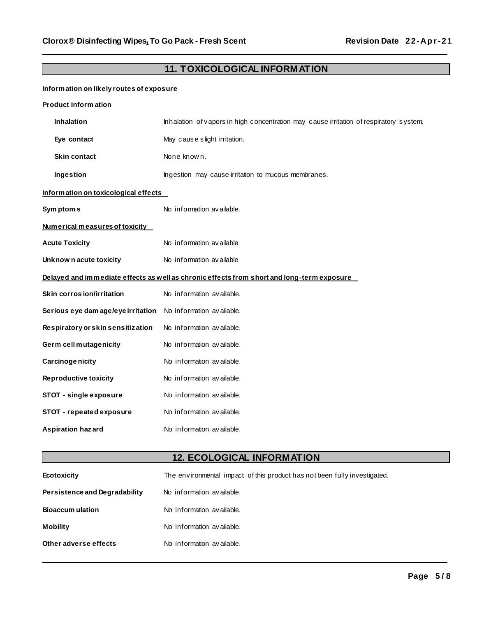### **11. TOXICOLOGICAL INFORMATION**

### **Information on likely routes of exposure**

| <b>Product Inform ation</b>          |                                                                                            |  |  |  |
|--------------------------------------|--------------------------------------------------------------------------------------------|--|--|--|
| <b>Inhalation</b>                    | Inhalation of vapors in high concentration may cause irritation of respiratory system.     |  |  |  |
| Eye contact                          | May cause slight irritation.                                                               |  |  |  |
| <b>Skin contact</b>                  | None known.                                                                                |  |  |  |
| Ingestion                            | Ingestion may cause irritation to mucous membranes.                                        |  |  |  |
| Information on toxicological effects |                                                                                            |  |  |  |
| Sym ptom s                           | No information available.                                                                  |  |  |  |
| Numerical measures of toxicity       |                                                                                            |  |  |  |
| <b>Acute Toxicity</b>                | No information available                                                                   |  |  |  |
| Unknow n acute toxicity              | No information available                                                                   |  |  |  |
|                                      | Delayed and immediate effects as well as chronic effects from short and long-term exposure |  |  |  |
| Skin corros ion/irritation           | No information available.                                                                  |  |  |  |
| Serious eye dam age/eye irritation   | No information available.                                                                  |  |  |  |
| Respiratory or skin sensitization    | No information available.                                                                  |  |  |  |
| Germ cell mutagenicity               | No information available.                                                                  |  |  |  |
| Carcinoge nicity                     | No information available.                                                                  |  |  |  |
| <b>Reproductive toxicity</b>         | No information available.                                                                  |  |  |  |
| STOT - single exposure               | No information available.                                                                  |  |  |  |
| STOT - repeated exposure             | No information available.                                                                  |  |  |  |
| <b>Aspiration hazard</b>             | No information available.                                                                  |  |  |  |

## **12. ECOLOGICAL INFORMATION**

| Ecotoxicity                   | The environmental impact of this product has not been fully investigated. |
|-------------------------------|---------------------------------------------------------------------------|
| Persistence and Degradability | No information available.                                                 |
| <b>Bioaccum ulation</b>       | No information available.                                                 |
| <b>Mobility</b>               | No information available.                                                 |
| Other adverse effects         | No information available.                                                 |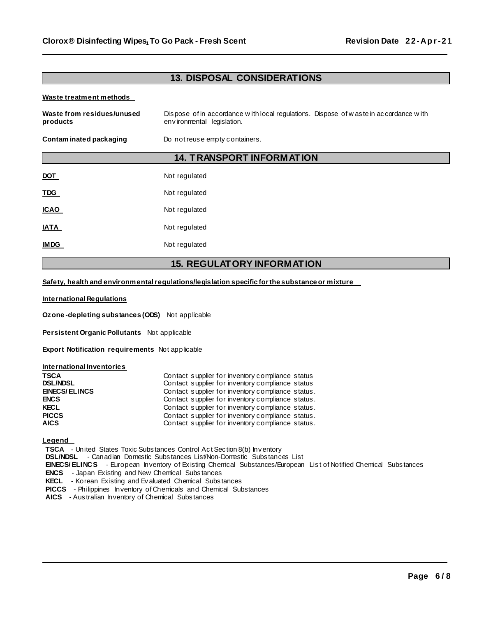### **13. DISPOSAL CONSIDERATIONS**

#### **Waste treatment methods**

| Waste from residues/unused<br>products | Dispose of in accordance with local regulations. Dispose of was te in accordance with<br>environmental legislation.<br>Do not reuse empty containers. |  |  |
|----------------------------------------|-------------------------------------------------------------------------------------------------------------------------------------------------------|--|--|
| Contam inated packaging                |                                                                                                                                                       |  |  |
|                                        | <b>14. TRANSPORT INFORMATION</b>                                                                                                                      |  |  |
| <b>DOT</b>                             | Not regulated                                                                                                                                         |  |  |
| <b>TDG</b>                             | Not regulated                                                                                                                                         |  |  |
| <b>ICAO</b>                            | Not regulated                                                                                                                                         |  |  |
| <b>IATA</b>                            | Not regulated                                                                                                                                         |  |  |
| <b>IMDG</b>                            | Not regulated                                                                                                                                         |  |  |

#### **15. REGULATORY INFORMATION**

**Safety, health and environmentalregulations/legislation specific forthe substance or mixture** 

#### **International Regulations**

**Ozone -depleting substances (ODS)** Not applicable

**Persistent Organic Pollutants** Not applicable

**Export Notification requirements** Not applicable

#### **International Inventories**

| <b>TSCA</b>          | Contact supplier for inventory compliance status  |
|----------------------|---------------------------------------------------|
| <b>DSL/NDSL</b>      | Contact supplier for inventory compliance status  |
| <b>EINECS/ELINCS</b> | Contact supplier for inventory compliance status. |
| <b>ENCS</b>          | Contact supplier for inventory compliance status. |
| <b>KECL</b>          | Contact supplier for inventory compliance status. |
| <b>PICCS</b>         | Contact supplier for inventory compliance status. |
| <b>AICS</b>          | Contact supplier for inventory compliance status. |

**Legend** 

**TSCA** - United States Toxic Substances Control Act Section 8(b) Inventory

**DSL/NDSL** - Canadian Domestic Subs tances List/Non-Domestic Subs tances List

**EINECS/ ELINCS** - European Inventory of Ex isting Chemical Substances/European Lis t of Notified Chemical Subs tances

**ENCS** - Japan Ex isting and New Chemical Subs tances

**KECL** - Korean Ex isting and Evaluated Chemical Subs tances

**PICCS** - Philippines Inventory of Chemicals and Chemical Substances

**AICS** - Aus tralian Inventory of Chemical Subs tances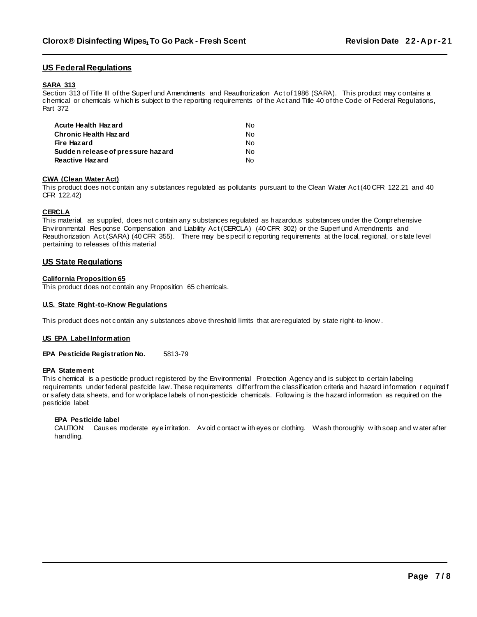#### **US Federal Regulations**

#### **SARA 313**

Section 313 of Title III of the Superf und Amendments and Reauthorization Act of 1986 (SARA). This product may contains a chemical or chemicals w hich is subject to the reporting requirements of the Ac t and Title 40 of the Code of Federal Regulations, Part 372

| Acute Health Hazard               | No. |
|-----------------------------------|-----|
| <b>Chronic Health Hazard</b>      | No. |
| Fire Hazard                       | No. |
| Sudden release of pressure hazard | No. |
| Reactive Hazard                   | No. |

#### **CWA (Clean Water Act)**

This product does not contain any substances regulated as pollutants pursuant to the Clean Water Act (40 CFR 122.21 and 40 CFR 122.42)

#### **CERCLA**

This material, as supplied, does not c ontain any substances regulated as hazardous substances under the Comprehensive Env ironmental Response Compensation and Liability Ac t (CERCLA) (40 CFR 302) or the Superf und Amendments and Reauthorization Act (SARA) (40 CFR 355). There may be specific reporting requirements at the local, regional, or state level pertaining to releases of this material

#### **US State Regulations**

#### **California Proposition 65**

This product does not contain any Proposition 65 chemicals.

#### **U.S. State Right-to-Know Regulations**

This product does not contain any substances above threshold limits that are regulated by state right-to-know.

#### **US EPA Label Information**

**EPA Pesticide Registration No.** 5813-79

#### **EPA Statement**

This chemical is a pesticide product registered by the Environmental Protection Agency and is subject to c ertain labeling requirements under federal pesticide law. These requirements differfrom the c lassification criteria and hazard information r equired f or s afety data sheets, and for w orkplace labels of non-pesticide chemicals. Follow ing is the hazard information as required on the pes ticide label:

#### **EPA Pesticide label**

CAUTION: Causes moderate ey e irritation. Av oid c ontact w ith eyes or clothing. Wash thoroughly w ith soap and w ater after handling.